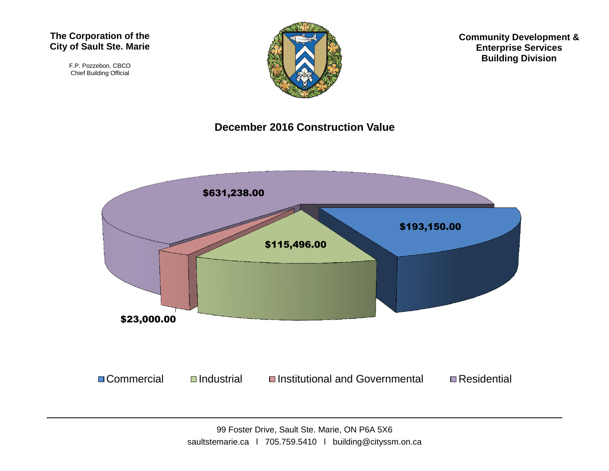#### **The Corporation of the City of Sault Ste. Marie**

F.P. Pozzebon, CBCO Chief Building Official



**Community Development & Enterprise Services Building Division**

#### **December 2016 Construction Value**

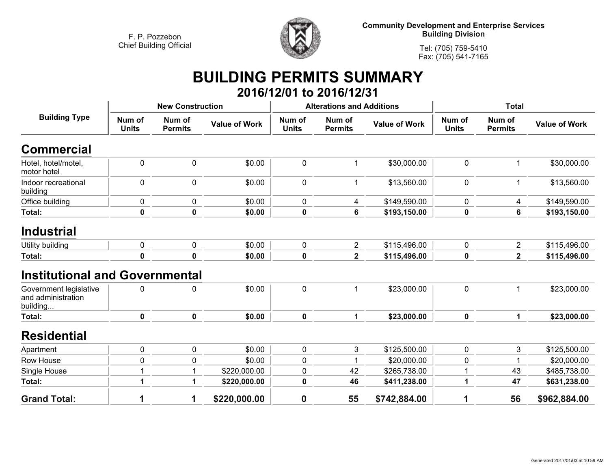

**Community Development and Enterprise Services Building Division**

**Tel: (705) 759-5410Fax: (705) 541-7165**

## **BUILDING PERMITS SUMMARY 2016/12/01 to 2016/12/31**

| <b>Building Type</b>                                     |                        | <b>New Construction</b>  |                      |                        | <b>Alterations and Additions</b> |                      | <b>Total</b>           |                          |                      |
|----------------------------------------------------------|------------------------|--------------------------|----------------------|------------------------|----------------------------------|----------------------|------------------------|--------------------------|----------------------|
|                                                          | Num of<br><b>Units</b> | Num of<br><b>Permits</b> | <b>Value of Work</b> | Num of<br><b>Units</b> | Num of<br><b>Permits</b>         | <b>Value of Work</b> | Num of<br><b>Units</b> | Num of<br><b>Permits</b> | <b>Value of Work</b> |
| <b>Commercial</b>                                        |                        |                          |                      |                        |                                  |                      |                        |                          |                      |
| Hotel, hotel/motel,<br>motor hotel                       | 0                      | $\pmb{0}$                | \$0.00               | 0                      |                                  | \$30,000.00          | $\pmb{0}$              | $\mathbf 1$              | \$30,000.00          |
| Indoor recreational<br>building                          | $\mathbf 0$            | 0                        | \$0.00               | 0                      |                                  | \$13,560.00          | $\mathbf 0$            | $\mathbf{1}$             | \$13,560.00          |
| Office building                                          | 0                      | $\pmb{0}$                | \$0.00               | 0                      | 4                                | \$149,590.00         | 0                      | 4                        | \$149,590.00         |
| Total:                                                   | 0                      | $\mathbf 0$              | \$0.00               | 0                      | 6                                | \$193,150.00         | 0                      | 6                        | \$193,150.00         |
| <b>Industrial</b>                                        |                        |                          |                      |                        |                                  |                      |                        |                          |                      |
| Utility building                                         | 0                      | 0                        | \$0.00               | 0                      | $\overline{2}$                   | \$115,496.00         | 0                      | $\overline{2}$           | \$115,496.00         |
| Total:                                                   | 0                      | $\mathbf 0$              | \$0.00               | 0                      | $\mathbf{2}$                     | \$115,496.00         | $\pmb{0}$              | $\overline{2}$           | \$115,496.00         |
| <b>Institutional and Governmental</b>                    |                        |                          |                      |                        |                                  |                      |                        |                          |                      |
| Government legislative<br>and administration<br>building | 0                      | $\pmb{0}$                | \$0.00               | 0                      |                                  | \$23,000.00          | $\pmb{0}$              | $\mathbf{1}$             | \$23,000.00          |
| <b>Total:</b>                                            | $\mathbf 0$            | 0                        | \$0.00               | $\mathbf 0$            | $\mathbf{1}$                     | \$23,000.00          | $\mathbf 0$            | $\mathbf{1}$             | \$23,000.00          |
| <b>Residential</b>                                       |                        |                          |                      |                        |                                  |                      |                        |                          |                      |
| Apartment                                                | 0                      | $\mathbf 0$              | \$0.00               | 0                      | 3                                | \$125,500.00         | 0                      | 3                        | \$125,500.00         |
| Row House                                                | 0                      | $\mathbf 0$              | \$0.00               | 0                      |                                  | \$20,000.00          | 0                      |                          | \$20,000.00          |
| Single House                                             |                        | 1                        | \$220,000.00         | 0                      | 42                               | \$265,738.00         | 1                      | 43                       | \$485,738.00         |
| Total:                                                   | 1                      | 1                        | \$220,000.00         | 0                      | 46                               | \$411,238.00         | 1                      | 47                       | \$631,238.00         |
| <b>Grand Total:</b>                                      | 1                      | 1                        | \$220,000.00         | 0                      | 55                               | \$742,884.00         | 1                      | 56                       | \$962,884.00         |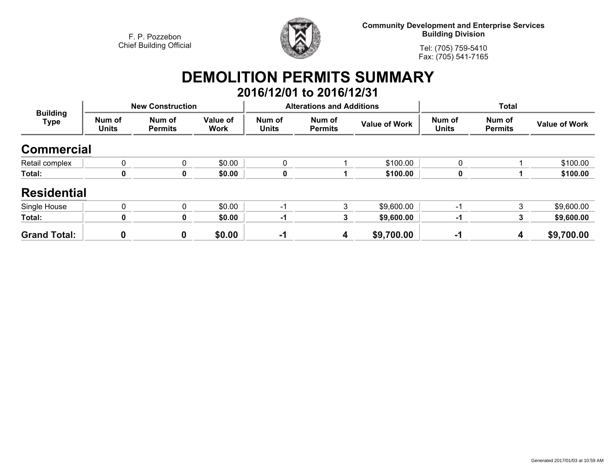

**Community Development and Enterprise Services Building Division**

**Tel: (705) 759-5410Fax: (705) 541-7165**

# **DEMOLITION PERMITS SUMMARY**

|                         |                        |                          |                         |                        | 2016/12/01 to 2016/12/31         |                      |                        |                          |                      |
|-------------------------|------------------------|--------------------------|-------------------------|------------------------|----------------------------------|----------------------|------------------------|--------------------------|----------------------|
|                         |                        | <b>New Construction</b>  |                         |                        | <b>Alterations and Additions</b> |                      | <b>Total</b>           |                          |                      |
| <b>Building</b><br>Type | Num of<br><b>Units</b> | Num of<br><b>Permits</b> | Value of<br><b>Work</b> | Num of<br><b>Units</b> | Num of<br><b>Permits</b>         | <b>Value of Work</b> | Num of<br><b>Units</b> | Num of<br><b>Permits</b> | <b>Value of Work</b> |
| <b>Commercial</b>       |                        |                          |                         |                        |                                  |                      |                        |                          |                      |
| Retail complex          | 0                      |                          | \$0.00                  | 0                      |                                  | \$100.00             |                        |                          | \$100.00             |
| Total:                  | 0                      |                          | \$0.00                  | 0                      |                                  | \$100.00             |                        |                          | \$100.00             |
| <b>Residential</b>      |                        |                          |                         |                        |                                  |                      |                        |                          |                      |
| Single House            | 0                      | $\Omega$                 | \$0.00                  | -1                     | 3                                | \$9,600.00           | -1                     | 3                        | \$9,600.00           |
| Total:                  | 0                      |                          | \$0.00                  | -1                     | 3                                | \$9,600.00           | -1                     | 3                        | \$9,600.00           |
| <b>Grand Total:</b>     |                        | 0                        | \$0.00                  | $-1$                   | 4                                | \$9,700.00           | $-1$                   | 4                        | \$9,700.00           |